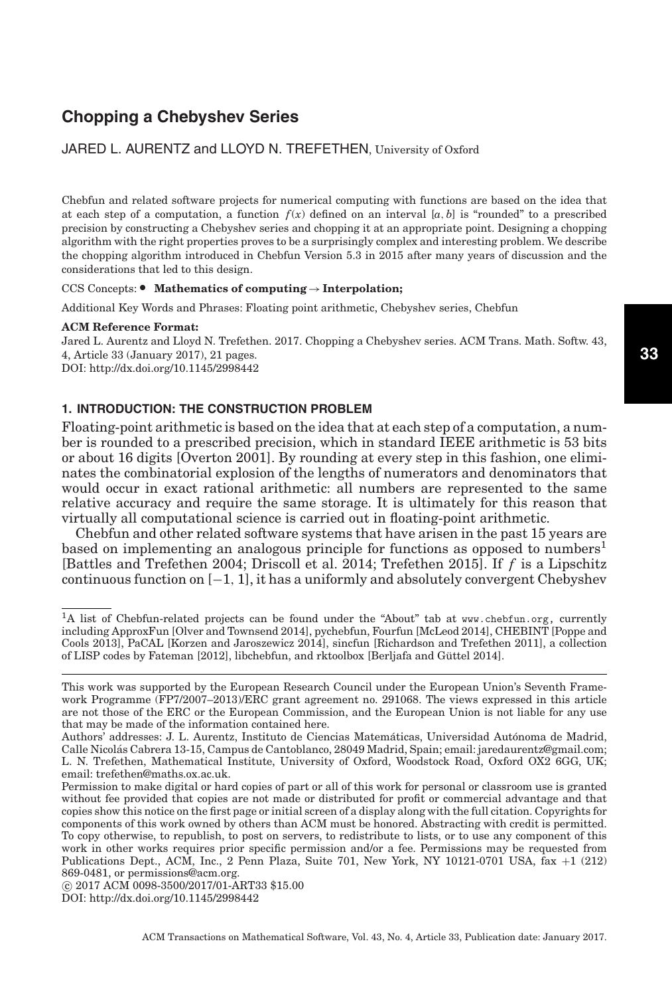# **Chopping a Chebyshev Series**

# JARED L. AURENTZ and LLOYD N. TREFETHEN, University of Oxford

Chebfun and related software projects for numerical computing with functions are based on the idea that at each step of a computation, a function  $f(x)$  defined on an interval [ $a, b$ ] is "rounded" to a prescribed precision by constructing a Chebyshev series and chopping it at an appropriate point. Designing a chopping algorithm with the right properties proves to be a surprisingly complex and interesting problem. We describe the chopping algorithm introduced in Chebfun Version 5.3 in 2015 after many years of discussion and the considerations that led to this design.

# CCS Concepts: - **Mathematics of computing**→**Interpolation;**

Additional Key Words and Phrases: Floating point arithmetic, Chebyshev series, Chebfun

#### **ACM Reference Format:**

Jared L. Aurentz and Lloyd N. Trefethen. 2017. Chopping a Chebyshev series. ACM Trans. Math. Softw. 43, 4, Article 33 (January 2017), 21 pages. DOI:<http://dx.doi.org/10.1145/2998442>

# **1. INTRODUCTION: THE CONSTRUCTION PROBLEM**

Floating-point arithmetic is based on the idea that at each step of a computation, a number is rounded to a prescribed precision, which in standard IEEE arithmetic is 53 bits or about 16 digits [Overton [2001\]](#page-20-0). By rounding at every step in this fashion, one eliminates the combinatorial explosion of the lengths of numerators and denominators that would occur in exact rational arithmetic: all numbers are represented to the same relative accuracy and require the same storage. It is ultimately for this reason that virtually all computational science is carried out in floating-point arithmetic.

Chebfun and other related software systems that have arisen in the past 15 years are based on implementing an analogous principle for functions as opposed to numbers<sup>[1](#page-0-0)</sup> [Battles and Trefethen [2004;](#page-20-1) Driscoll et al. [2014;](#page-20-2) Trefethen [2015\]](#page-20-3). If *f* is a Lipschitz continuous function on  $[-1, 1]$ , it has a uniformly and absolutely convergent Chebyshev

<span id="page-0-0"></span><sup>&</sup>lt;sup>1</sup>A list of Chebfun-related projects can be found under the "About" tab at [www.chebfun.org,](file:www.chebfun.org) currently including ApproxFun [Olver and Townsend [2014\]](#page-20-4), pychebfun, Fourfun [McLeod [2014\]](#page-20-5), CHEBINT [Poppe and Cools [2013\]](#page-20-6), PaCAL [Korzen and Jaroszewicz [2014\]](#page-20-7), sincfun [Richardson and Trefethen [2011\]](#page-20-8), a collection of LISP codes by Fateman [\[2012\]](#page-20-9), libchebfun, and rktoolbox [Berljafa and Guttel [2014\]](#page-20-10). ¨

This work was supported by the European Research Council under the European Union's Seventh Framework Programme (FP7/2007–2013)/ERC grant agreement no. 291068. The views expressed in this article are not those of the ERC or the European Commission, and the European Union is not liable for any use that may be made of the information contained here.

Authors' addresses: J. L. Aurentz, Instituto de Ciencias Matemáticas, Universidad Autónoma de Madrid, Calle Nicolas Cabrera 13-15, Campus de Cantoblanco, 28049 Madrid, Spain; email: jaredaurentz@gmail.com; ´ L. N. Trefethen, Mathematical Institute, University of Oxford, Woodstock Road, Oxford OX2 6GG, UK; email: trefethen@maths.ox.ac.uk.

Permission to make digital or hard copies of part or all of this work for personal or classroom use is granted without fee provided that copies are not made or distributed for profit or commercial advantage and that copies show this notice on the first page or initial screen of a display along with the full citation. Copyrights for components of this work owned by others than ACM must be honored. Abstracting with credit is permitted. To copy otherwise, to republish, to post on servers, to redistribute to lists, or to use any component of this work in other works requires prior specific permission and/or a fee. Permissions may be requested from Publications Dept., ACM, Inc., 2 Penn Plaza, Suite 701, New York, NY 10121-0701 USA, fax +1 (212) 869-0481, or permissions@acm.org.

<sup>-</sup>c 2017 ACM 0098-3500/2017/01-ART33 \$15.00

DOI:<http://dx.doi.org/10.1145/2998442>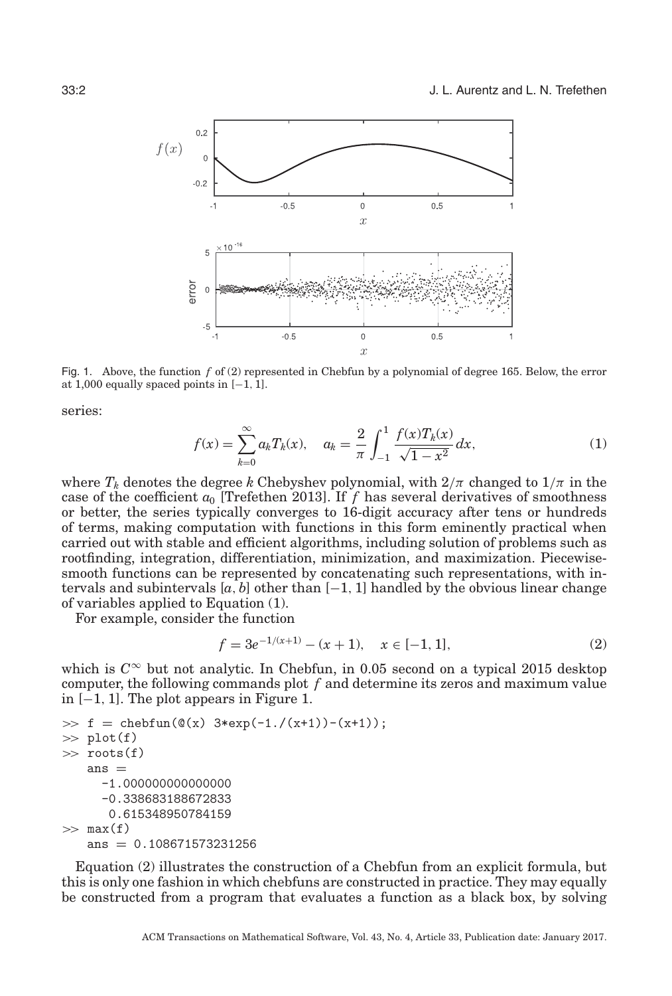<span id="page-1-2"></span>

Fig. 1. Above, the function *f* of [\(2\)](#page-1-0) represented in Chebfun by a polynomial of degree 165. Below, the error at 1,000 equally spaced points in  $[-1, 1]$ .

<span id="page-1-1"></span>series:

$$
f(x) = \sum_{k=0}^{\infty} a_k T_k(x), \quad a_k = \frac{2}{\pi} \int_{-1}^{1} \frac{f(x) T_k(x)}{\sqrt{1 - x^2}} dx,
$$
 (1)

where  $T_k$  denotes the degree k Chebyshev polynomial, with  $2/\pi$  changed to  $1/\pi$  in the case of the coefficient  $a_0$  [Trefethen [2013\]](#page-20-11). If  $f$  has several derivatives of smoothness or better, the series typically converges to 16-digit accuracy after tens or hundreds of terms, making computation with functions in this form eminently practical when carried out with stable and efficient algorithms, including solution of problems such as rootfinding, integration, differentiation, minimization, and maximization. Piecewisesmooth functions can be represented by concatenating such representations, with intervals and subintervals  $[a, b]$  other than  $[-1, 1]$  handled by the obvious linear change of variables applied to Equation [\(1\)](#page-1-1).

For example, consider the function

<span id="page-1-0"></span>
$$
f = 3e^{-1/(x+1)} - (x+1), \quad x \in [-1, 1], \tag{2}
$$

which is  $C^{\infty}$  but not analytic. In Chebfun, in 0.05 second on a typical 2015 desktop computer, the following commands plot *f* and determine its zeros and maximum value in [−1, 1]. The plot appears in Figure [1.](#page-1-2)

```
\Rightarrow f = chebfun(\mathcal{O}(x) 3*exp(-1./(x+1))-(x+1));
\gg plot(f)
\gg roots(f)
   ans =-1.000000000000000
      -0.338683188672833
       0.615348950784159
\gg max(f)ans = 0.108671573231256
```
Equation [\(2\)](#page-1-0) illustrates the construction of a Chebfun from an explicit formula, but this is only one fashion in which chebfuns are constructed in practice. They may equally be constructed from a program that evaluates a function as a black box, by solving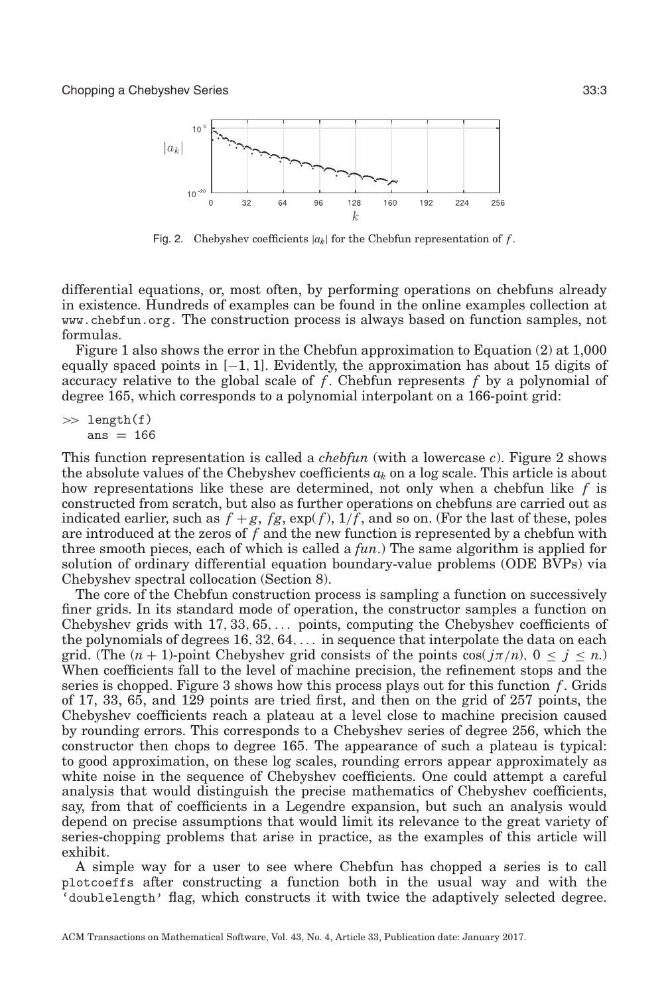<span id="page-2-0"></span>

Fig. 2. Chebyshev coefficients  $|a_k|$  for the Chebfun representation of  $f$ .

differential equations, or, most often, by performing operations on chebfuns already in existence. Hundreds of examples can be found in the online examples collection at [www.chebfun.org.](file:www.chebfun.org) The construction process is always based on function samples, not formulas.

Figure [1](#page-1-2) also shows the error in the Chebfun approximation to Equation [\(2\)](#page-1-0) at 1,000 equally spaced points in  $[-1, 1]$ . Evidently, the approximation has about 15 digits of accuracy relative to the global scale of *f*. Chebfun represents *f* by a polynomial of degree 165, which corresponds to a polynomial interpolant on a 166-point grid:

 $\gg$  length(f) ans  $= 166$ 

This function representation is called a *chebfun* (with a lowercase *c*). Figure [2](#page-2-0) shows the absolute values of the Chebyshev coefficients *ak* on a log scale. This article is about how representations like these are determined, not only when a chebfun like *f* is constructed from scratch, but also as further operations on chebfuns are carried out as indicated earlier, such as  $f + g$ ,  $fg$ ,  $exp(f)$ ,  $1/f$ , and so on. (For the last of these, poles are introduced at the zeros of *f* and the new function is represented by a chebfun with three smooth pieces, each of which is called a *fun*.) The same algorithm is applied for solution of ordinary differential equation boundary-value problems (ODE BVPs) via Chebyshev spectral collocation (Section 8).

The core of the Chebfun construction process is sampling a function on successively finer grids. In its standard mode of operation, the constructor samples a function on Chebyshev grids with 17, 33, 65,... points, computing the Chebyshev coefficients of the polynomials of degrees 16, 32, 64,... in sequence that interpolate the data on each grid. (The  $(n + 1)$ -point Chebyshev grid consists of the points  $\cos(j\pi/n)$ ,  $0 \le j \le n$ .) When coefficients fall to the level of machine precision, the refinement stops and the series is chopped. Figure [3](#page-3-0) shows how this process plays out for this function *f*. Grids of 17, 33, 65, and 129 points are tried first, and then on the grid of 257 points, the Chebyshev coefficients reach a plateau at a level close to machine precision caused by rounding errors. This corresponds to a Chebyshev series of degree 256, which the constructor then chops to degree 165. The appearance of such a plateau is typical: to good approximation, on these log scales, rounding errors appear approximately as white noise in the sequence of Chebyshev coefficients. One could attempt a careful analysis that would distinguish the precise mathematics of Chebyshev coefficients, say, from that of coefficients in a Legendre expansion, but such an analysis would depend on precise assumptions that would limit its relevance to the great variety of series-chopping problems that arise in practice, as the examples of this article will exhibit.

A simple way for a user to see where Chebfun has chopped a series is to call plotcoeffs after constructing a function both in the usual way and with the 'doublelength' flag, which constructs it with twice the adaptively selected degree.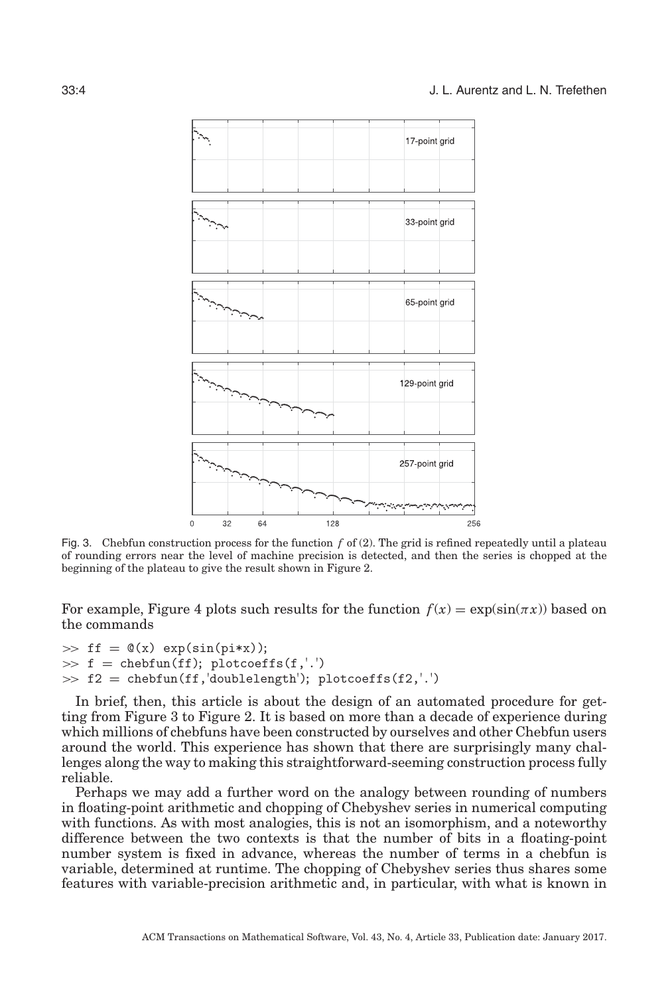<span id="page-3-0"></span>

Fig. 3. Chebfun construction process for the function *f* of (2). The grid is refined repeatedly until a plateau of rounding errors near the level of machine precision is detected, and then the series is chopped at the beginning of the plateau to give the result shown in Figure [2.](#page-2-0)

For example, Figure [4](#page-4-0) plots such results for the function  $f(x) = \exp(\sin(\pi x))$  based on the commands

```
\gg ff = \mathbb{Q}(x) exp(sin(pi*x));
\gg f = chebfun(ff); plotcoeffs(f,'.')
\gg f2 = chebfun(ff,'doublelength'); plotcoeffs(f2,'.')
```
In brief, then, this article is about the design of an automated procedure for getting from Figure [3](#page-3-0) to Figure [2.](#page-2-0) It is based on more than a decade of experience during which millions of chebfuns have been constructed by ourselves and other Chebfun users around the world. This experience has shown that there are surprisingly many challenges along the way to making this straightforward-seeming construction process fully reliable.

Perhaps we may add a further word on the analogy between rounding of numbers in floating-point arithmetic and chopping of Chebyshev series in numerical computing with functions. As with most analogies, this is not an isomorphism, and a noteworthy difference between the two contexts is that the number of bits in a floating-point number system is fixed in advance, whereas the number of terms in a chebfun is variable, determined at runtime. The chopping of Chebyshev series thus shares some features with variable-precision arithmetic and, in particular, with what is known in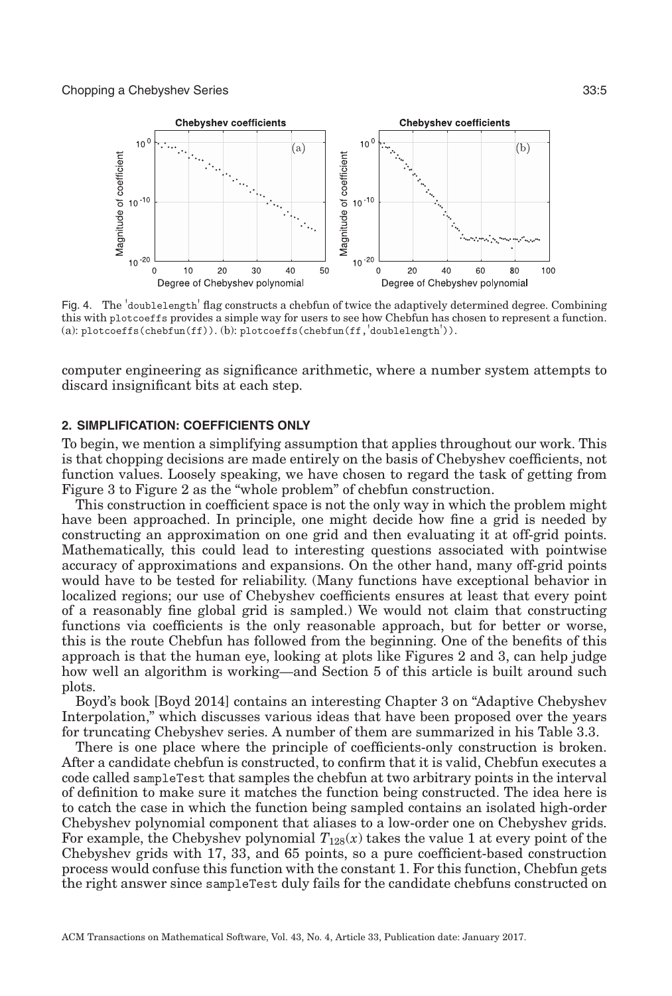<span id="page-4-0"></span>

Fig. 4. The 'doublelength' flag constructs a chebfun of twice the adaptively determined degree. Combining this with plotcoeffs provides a simple way for users to see how Chebfun has chosen to represent a function. (a):  $plots(chebfun(ff))$ . (b):  $plots(chebfun(ff, 'doublelength')).$ 

computer engineering as significance arithmetic, where a number system attempts to discard insignificant bits at each step.

#### **2. SIMPLIFICATION: COEFFICIENTS ONLY**

To begin, we mention a simplifying assumption that applies throughout our work. This is that chopping decisions are made entirely on the basis of Chebyshev coefficients, not function values. Loosely speaking, we have chosen to regard the task of getting from Figure [3](#page-3-0) to Figure [2](#page-2-0) as the "whole problem" of chebfun construction.

This construction in coefficient space is not the only way in which the problem might have been approached. In principle, one might decide how fine a grid is needed by constructing an approximation on one grid and then evaluating it at off-grid points. Mathematically, this could lead to interesting questions associated with pointwise accuracy of approximations and expansions. On the other hand, many off-grid points would have to be tested for reliability. (Many functions have exceptional behavior in localized regions; our use of Chebyshev coefficients ensures at least that every point of a reasonably fine global grid is sampled.) We would not claim that constructing functions via coefficients is the only reasonable approach, but for better or worse, this is the route Chebfun has followed from the beginning. One of the benefits of this approach is that the human eye, looking at plots like Figures [2](#page-2-0) and [3,](#page-3-0) can help judge how well an algorithm is working—and Section 5 of this article is built around such plots.

Boyd's book [Boyd [2014\]](#page-20-12) contains an interesting Chapter 3 on "Adaptive Chebyshev Interpolation," which discusses various ideas that have been proposed over the years for truncating Chebyshev series. A number of them are summarized in his Table 3.3.

There is one place where the principle of coefficients-only construction is broken. After a candidate chebfun is constructed, to confirm that it is valid, Chebfun executes a code called sampleTest that samples the chebfun at two arbitrary points in the interval of definition to make sure it matches the function being constructed. The idea here is to catch the case in which the function being sampled contains an isolated high-order Chebyshev polynomial component that aliases to a low-order one on Chebyshev grids. For example, the Chebyshev polynomial  $T_{128}(x)$  takes the value 1 at every point of the Chebyshev grids with 17, 33, and 65 points, so a pure coefficient-based construction process would confuse this function with the constant 1. For this function, Chebfun gets the right answer since sampleTest duly fails for the candidate chebfuns constructed on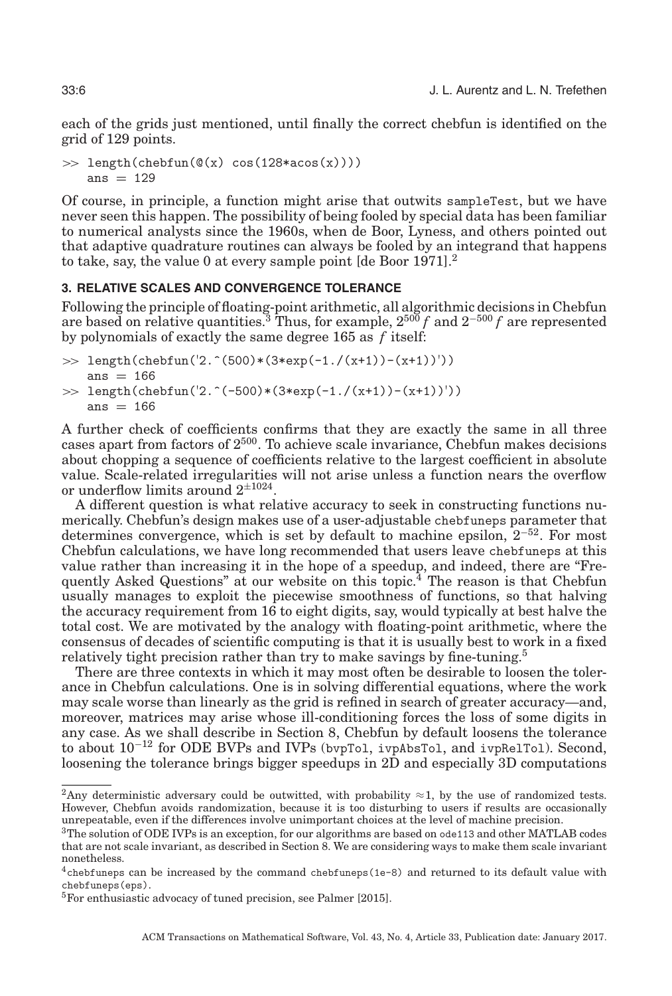each of the grids just mentioned, until finally the correct chebfun is identified on the grid of 129 points.

 $\gg$  length(chebfun( $\mathcal{O}(x)$  cos(128\*acos(x)))) ans  $= 129$ 

Of course, in principle, a function might arise that outwits sampleTest, but we have never seen this happen. The possibility of being fooled by special data has been familiar to numerical analysts since the 1960s, when de Boor, Lyness, and others pointed out that adaptive quadrature routines can always be fooled by an integrand that happens to take, say, the value 0 at every sample point  $\lbrack$  de Boor [1971\]](#page-20-13).<sup>[2](#page-5-0)</sup>

# **3. RELATIVE SCALES AND CONVERGENCE TOLERANCE**

Following the principle of floating-point arithmetic, all algorithmic decisions in Chebfun are based on relative quantities.[3](#page-5-1) Thus, for example, 2500 *f* and 2−<sup>500</sup> *f* are represented by polynomials of exactly the same degree 165 as *f* itself:

 $\gg$  length(chebfun('2.^(500)\*(3\*exp(-1./(x+1))-(x+1))')) ans  $= 166$ >> length(chebfun('2.^(-500)\*(3\*exp(-1./(x+1))-(x+1))')) ans  $= 166$ 

A further check of coefficients confirms that they are exactly the same in all three cases apart from factors of  $2^{500}$ . To achieve scale invariance, Chebfun makes decisions about chopping a sequence of coefficients relative to the largest coefficient in absolute value. Scale-related irregularities will not arise unless a function nears the overflow or underflow limits around  $2^{\pm 1024}$ .

A different question is what relative accuracy to seek in constructing functions numerically. Chebfun's design makes use of a user-adjustable chebfuneps parameter that determines convergence, which is set by default to machine epsilon,  $2^{-52}$ . For most Chebfun calculations, we have long recommended that users leave chebfuneps at this value rather than increasing it in the hope of a speedup, and indeed, there are "Frequently Asked Questions" at our website on this topic.[4](#page-5-2) The reason is that Chebfun usually manages to exploit the piecewise smoothness of functions, so that halving the accuracy requirement from 16 to eight digits, say, would typically at best halve the total cost. We are motivated by the analogy with floating-point arithmetic, where the consensus of decades of scientific computing is that it is usually best to work in a fixed relatively tight precision rather than try to make savings by fine-tuning.<sup>5</sup>

There are three contexts in which it may most often be desirable to loosen the tolerance in Chebfun calculations. One is in solving differential equations, where the work may scale worse than linearly as the grid is refined in search of greater accuracy—and, moreover, matrices may arise whose ill-conditioning forces the loss of some digits in any case. As we shall describe in Section 8, Chebfun by default loosens the tolerance to about 10−<sup>12</sup> for ODE BVPs and IVPs (bvpTol, ivpAbsTol, and ivpRelTol). Second, loosening the tolerance brings bigger speedups in 2D and especially 3D computations

<span id="page-5-0"></span><sup>&</sup>lt;sup>2</sup>Any deterministic adversary could be outwitted, with probability  $\approx$  1, by the use of randomized tests. However, Chebfun avoids randomization, because it is too disturbing to users if results are occasionally unrepeatable, even if the differences involve unimportant choices at the level of machine precision.

<span id="page-5-1"></span> $3$ The solution of ODE IVPs is an exception, for our algorithms are based on ode113 and other MATLAB codes that are not scale invariant, as described in Section [8.](#page-13-0) We are considering ways to make them scale invariant nonetheless.

<span id="page-5-2"></span> $4$ chebfuneps can be increased by the command chebfuneps (1e-8) and returned to its default value with chebfuneps(eps).

<span id="page-5-3"></span><sup>5</sup>For enthusiastic advocacy of tuned precision, see Palmer [\[2015\]](#page-20-14).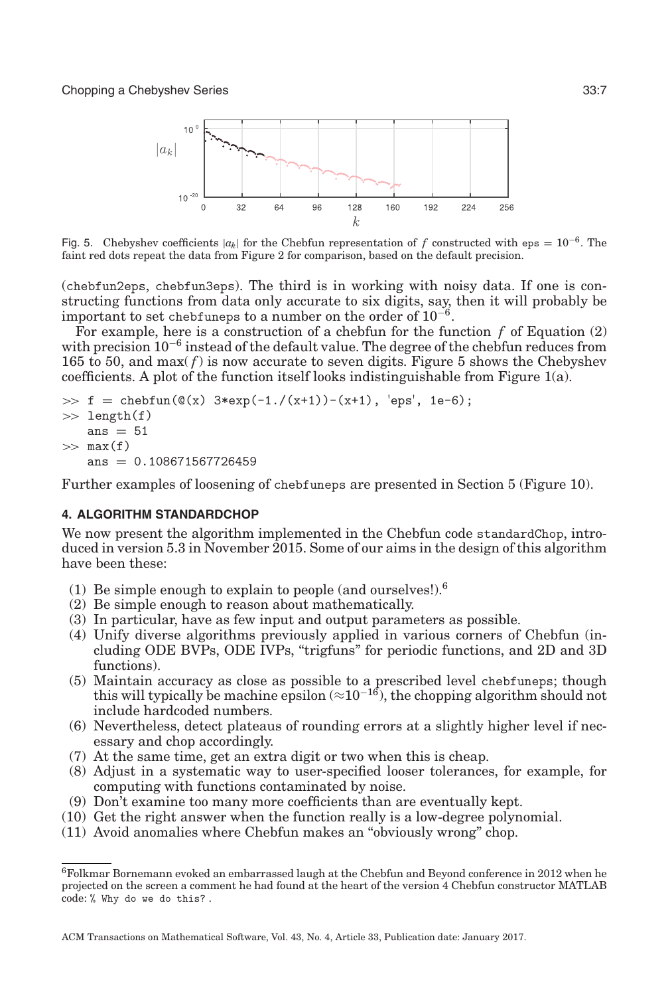<span id="page-6-0"></span>

Fig. 5. Chebyshev coefficients  $|a_k|$  for the Chebfun representation of f constructed with eps =  $10^{-6}$ . The faint red dots repeat the data from Figure 2 for comparison, based on the default precision.

(chebfun2eps, chebfun3eps). The third is in working with noisy data. If one is constructing functions from data only accurate to six digits, say, then it will probably be important to set chebfuneps to a number on the order of  $10^{-6}$ .

For example, here is a construction of a chebfun for the function  $f$  of Equation  $(2)$ with precision  $10^{-6}$  instead of the default value. The degree of the chebfun reduces from 165 to [5](#page-6-0)0, and max $(f)$  is now accurate to seven digits. Figure 5 shows the Chebyshev coefficients. A plot of the function itself looks indistinguishable from Figure  $1(a)$ .

```
\Rightarrow f = chebfun(\mathcal{O}(x) 3*exp(-1./(x+1))-(x+1), 'eps', 1e-6);
\gg length(f)
    ans = 51\gg max(f)ans = 0.108671567726459
```
Further examples of loosening of chebfuneps are presented in Section [5](#page-9-0) (Figure [10\)](#page-12-0).

# **4. ALGORITHM STANDARDCHOP**

<span id="page-6-2"></span>We now present the algorithm implemented in the Chebfun code standardChop, introduced in version 5.3 in November 2015. Some of our aims in the design of this algorithm have been these:

- (1) Be simple enough to explain to people (and ourselves!)[.6](#page-6-1)
- (2) Be simple enough to reason about mathematically.
- (3) In particular, have as few input and output parameters as possible.
- (4) Unify diverse algorithms previously applied in various corners of Chebfun (including ODE BVPs, ODE IVPs, "trigfuns" for periodic functions, and 2D and 3D functions).
- (5) Maintain accuracy as close as possible to a prescribed level chebfuneps; though this will typically be machine epsilon ( $\approx 10^{-16}$ ), the chopping algorithm should not include hardcoded numbers.
- (6) Nevertheless, detect plateaus of rounding errors at a slightly higher level if necessary and chop accordingly.
- (7) At the same time, get an extra digit or two when this is cheap.
- (8) Adjust in a systematic way to user-specified looser tolerances, for example, for computing with functions contaminated by noise.
- (9) Don't examine too many more coefficients than are eventually kept.
- (10) Get the right answer when the function really is a low-degree polynomial.
- (11) Avoid anomalies where Chebfun makes an "obviously wrong" chop.

<span id="page-6-1"></span><sup>6</sup>Folkmar Bornemann evoked an embarrassed laugh at the Chebfun and Beyond conference in 2012 when he projected on the screen a comment he had found at the heart of the version 4 Chebfun constructor MATLAB code: % Why do we do this? .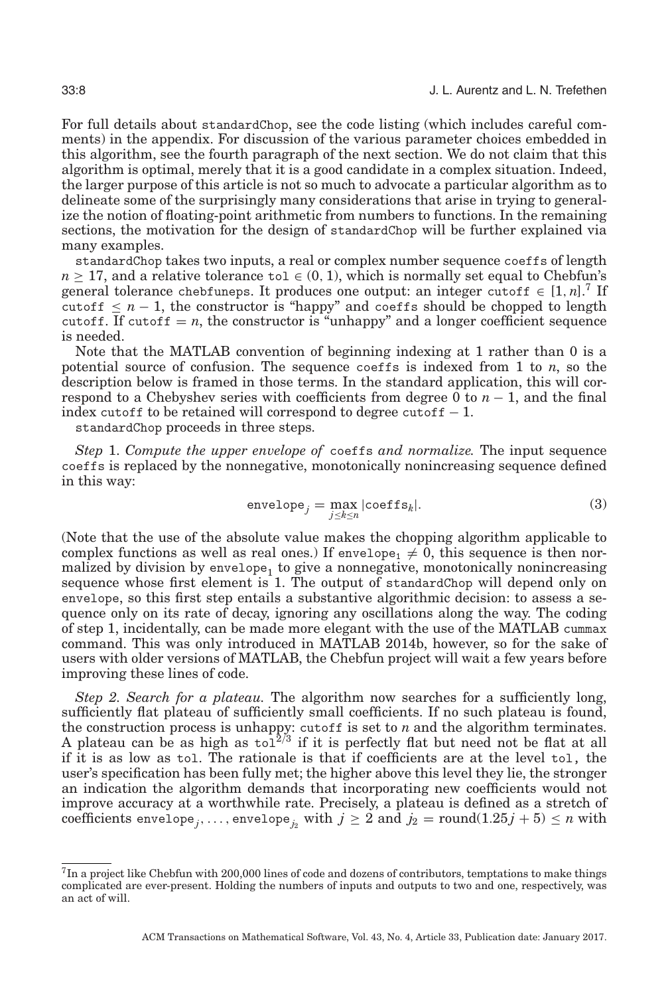For full details about standardChop, see the code listing (which includes careful comments) in the appendix. For discussion of the various parameter choices embedded in this algorithm, see the fourth paragraph of the next section. We do not claim that this algorithm is optimal, merely that it is a good candidate in a complex situation. Indeed, the larger purpose of this article is not so much to advocate a particular algorithm as to delineate some of the surprisingly many considerations that arise in trying to generalize the notion of floating-point arithmetic from numbers to functions. In the remaining sections, the motivation for the design of standardChop will be further explained via many examples.

standardChop takes two inputs, a real or complex number sequence coeffs of length  $n \geq 17$ , and a relative tolerance to  $\in (0, 1)$ , which is normally set equal to Chebfun's general tolerance chebfuneps. It produces one output: an integer cutoff  $\in [1, n]$ .<sup>[7](#page-7-0)</sup> If cutoff  $\leq n-1$ , the constructor is "happy" and coeffs should be chopped to length cutoff. If cutoff  $= n$ , the constructor is "unhappy" and a longer coefficient sequence is needed.

Note that the MATLAB convention of beginning indexing at 1 rather than 0 is a potential source of confusion. The sequence coeffs is indexed from 1 to *n*, so the description below is framed in those terms. In the standard application, this will correspond to a Chebyshev series with coefficients from degree 0 to  $n-1$ , and the final index cutoff to be retained will correspond to degree cutoff  $-1$ .

standardChop proceeds in three steps.

<span id="page-7-1"></span>*Step* 1. *Compute the upper envelope of* coeffs *and normalize.* The input sequence coeffs is replaced by the nonnegative, monotonically nonincreasing sequence defined in this way:

$$
envelope_j = \max_{j \le k \le n} |\text{coeffs}_k|.
$$
\n(3)

(Note that the use of the absolute value makes the chopping algorithm applicable to complex functions as well as real ones.) If envelope<sub>1</sub>  $\neq$  0, this sequence is then normalized by division by  $env\neq0$  to give a nonnegative, monotonically nonincreasing sequence whose first element is 1. The output of standardChop will depend only on envelope, so this first step entails a substantive algorithmic decision: to assess a sequence only on its rate of decay, ignoring any oscillations along the way. The coding of step 1, incidentally, can be made more elegant with the use of the MATLAB cummax command. This was only introduced in MATLAB 2014b, however, so for the sake of users with older versions of MATLAB, the Chebfun project will wait a few years before improving these lines of code.

*Step 2. Search for a plateau.* The algorithm now searches for a sufficiently long, sufficiently flat plateau of sufficiently small coefficients. If no such plateau is found, the construction process is unhappy: cutoff is set to *n* and the algorithm terminates. A plateau can be as high as  $\text{tol}^2$  if it is perfectly flat but need not be flat at all if it is as low as tol. The rationale is that if coefficients are at the level tol, the user's specification has been fully met; the higher above this level they lie, the stronger an indication the algorithm demands that incorporating new coefficients would not improve accuracy at a worthwhile rate. Precisely, a plateau is defined as a stretch of coefficients envelope<sub>*i*</sub>,..., envelope<sub>*i*</sub> with  $j \geq 2$  and  $j_2$  = round(1.25 $j + 5 \leq n$  with

<span id="page-7-0"></span> $^{7}$ In a project like Chebfun with 200,000 lines of code and dozens of contributors, temptations to make things complicated are ever-present. Holding the numbers of inputs and outputs to two and one, respectively, was an act of will.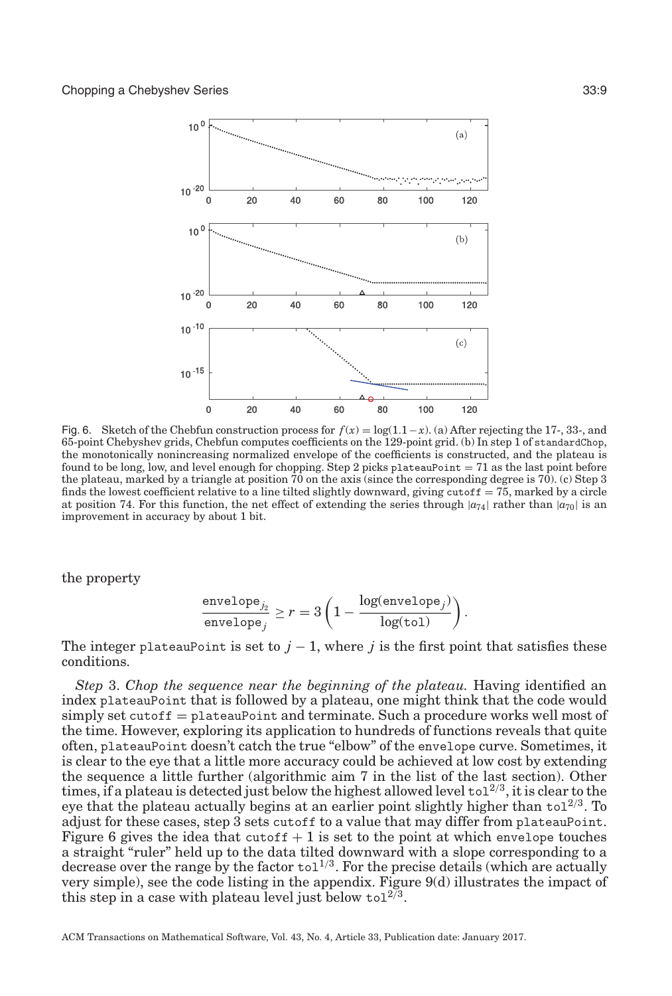<span id="page-8-0"></span>

Fig. 6. Sketch of the Chebfun construction process for  $f(x) = \log(1.1-x)$ . (a) After rejecting the 17-, 33-, and 65-point Chebyshev grids, Chebfun computes coefficients on the 129-point grid. (b) In step 1 of standardChop, the monotonically nonincreasing normalized envelope of the coefficients is constructed, and the plateau is found to be long, low, and level enough for chopping. Step 2 picks plateauPoint  $= 71$  as the last point before the plateau, marked by a triangle at position 70 on the axis (since the corresponding degree is 70). (c) Step 3 finds the lowest coefficient relative to a line tilted slightly downward, giving cutoff  $= 75$ , marked by a circle at position 74. For this function, the net effect of extending the series through  $|a_{74}|$  rather than  $|a_{70}|$  is an improvement in accuracy by about 1 bit.

the property

$$
\frac{\text{envelope}_{j_2}}{\text{envelope}_{j}} \geq r = 3\left(1 - \frac{\text{log(envelope}_j)}{\text{log(tol)}}\right).
$$

The integer plateauPoint is set to  $j-1$ , where j is the first point that satisfies these conditions.

*Step* 3. *Chop the sequence near the beginning of the plateau.* Having identified an index plateauPoint that is followed by a plateau, one might think that the code would simply set cutoff = plateauPoint and terminate. Such a procedure works well most of the time. However, exploring its application to hundreds of functions reveals that quite often, plateauPoint doesn't catch the true "elbow" of the envelope curve. Sometimes, it is clear to the eye that a little more accuracy could be achieved at low cost by extending the sequence a little further (algorithmic aim 7 in the list of the last section). Other times, if a plateau is detected just below the highest allowed level to  $1^{2/3}$ , it is clear to the eye that the plateau actually begins at an earlier point slightly higher than  $\text{tol}^{2/3}$ . To adjust for these cases, step 3 sets cutoff to a value that may differ from plateauPoint. Figure [6](#page-8-0) gives the idea that cutoff  $+1$  is set to the point at which envelope touches a straight "ruler" held up to the data tilted downward with a slope corresponding to a decrease over the range by the factor  $\text{tol}^{1/3}$ . For the precise details (which are actually very simple), see the code listing in the appendix. Figure [9\(](#page-11-0)d) illustrates the impact of this step in a case with plateau level just below to  $1^{2/3}$ .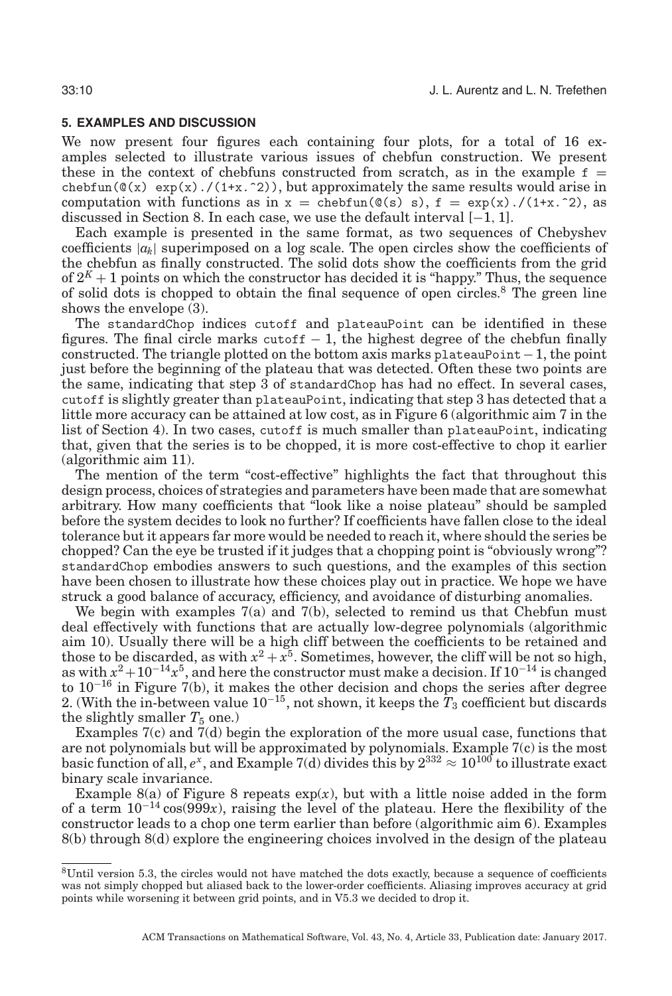#### **5. EXAMPLES AND DISCUSSION**

<span id="page-9-0"></span>We now present four figures each containing four plots, for a total of 16 examples selected to illustrate various issues of chebfun construction. We present these in the context of chebfuns constructed from scratch, as in the example  $f =$ chebfun( $\mathcal{Q}(x)$  exp(x)./(1+x.^2)), but approximately the same results would arise in computation with functions as in  $x = \text{chebfun}(\mathcal{C}(s) \, s)$ ,  $f = \exp(x)$ ./(1+x.<sup>o</sup>2), as discussed in Section [8.](#page-13-0) In each case, we use the default interval [−1, 1].

Each example is presented in the same format, as two sequences of Chebyshev coefficients  $|a_k|$  superimposed on a log scale. The open circles show the coefficients of the chebfun as finally constructed. The solid dots show the coefficients from the grid of  $2<sup>K</sup> + 1$  points on which the constructor has decided it is "happy." Thus, the sequence of solid dots is chopped to obtain the final sequence of open circles[.8](#page-9-1) The green line shows the envelope [\(3\)](#page-7-1).

The standardChop indices cutoff and plateauPoint can be identified in these figures. The final circle marks cutof  $f - 1$ , the highest degree of the chebfun finally constructed. The triangle plotted on the bottom axis marks plateauPoint $-1$ , the point just before the beginning of the plateau that was detected. Often these two points are the same, indicating that step 3 of standardChop has had no effect. In several cases, cutoff is slightly greater than plateauPoint, indicating that step 3 has detected that a little more accuracy can be attained at low cost, as in Figure [6](#page-8-0) (algorithmic aim 7 in the list of Section [4\)](#page-6-2). In two cases, cutoff is much smaller than plateauPoint, indicating that, given that the series is to be chopped, it is more cost-effective to chop it earlier (algorithmic aim 11).

The mention of the term "cost-effective" highlights the fact that throughout this design process, choices of strategies and parameters have been made that are somewhat arbitrary. How many coefficients that "look like a noise plateau" should be sampled before the system decides to look no further? If coefficients have fallen close to the ideal tolerance but it appears far more would be needed to reach it, where should the series be chopped? Can the eye be trusted if it judges that a chopping point is "obviously wrong"? standardChop embodies answers to such questions, and the examples of this section have been chosen to illustrate how these choices play out in practice. We hope we have struck a good balance of accuracy, efficiency, and avoidance of disturbing anomalies.

We begin with examples [7\(](#page-10-0)a) and [7\(](#page-10-0)b), selected to remind us that Chebfun must deal effectively with functions that are actually low-degree polynomials (algorithmic aim 10). Usually there will be a high cliff between the coefficients to be retained and those to be discarded, as with  $x^2 + x^5$ . Sometimes, however, the cliff will be not so high, as with  $x^2+10^{-14}x^5$ , and here the constructor must make a decision. If  $10^{-14}$  is changed to  $10^{-16}$  in Figure [7\(](#page-10-0)b), it makes the other decision and chops the series after degree 2. (With the in-between value  $10^{-15}$ , not shown, it keeps the  $T_3$  coefficient but discards the slightly smaller  $T_5$  one.)

Examples [7\(](#page-10-0)c) and [7\(](#page-10-0)d) begin the exploration of the more usual case, functions that are not polynomials but will be approximated by polynomials. Example [7\(](#page-10-0)c) is the most basic function of all,  $e^x$ , and Example [7\(](#page-10-0)d) divides this by  $2^{332} \approx 10^{100}$  to illustrate exact binary scale invariance.

Example [8\(](#page-10-1)a) of Figure [8](#page-10-1) repeats  $exp(x)$ , but with a little noise added in the form of a term  $10^{-14} \cos(999x)$ , raising the level of the plateau. Here the flexibility of the constructor leads to a chop one term earlier than before (algorithmic aim 6). Examples [8\(](#page-10-1)b) through [8\(](#page-10-1)d) explore the engineering choices involved in the design of the plateau

<span id="page-9-1"></span><sup>8</sup>Until version 5.3, the circles would not have matched the dots exactly, because a sequence of coefficients was not simply chopped but aliased back to the lower-order coefficients. Aliasing improves accuracy at grid points while worsening it between grid points, and in V5.3 we decided to drop it.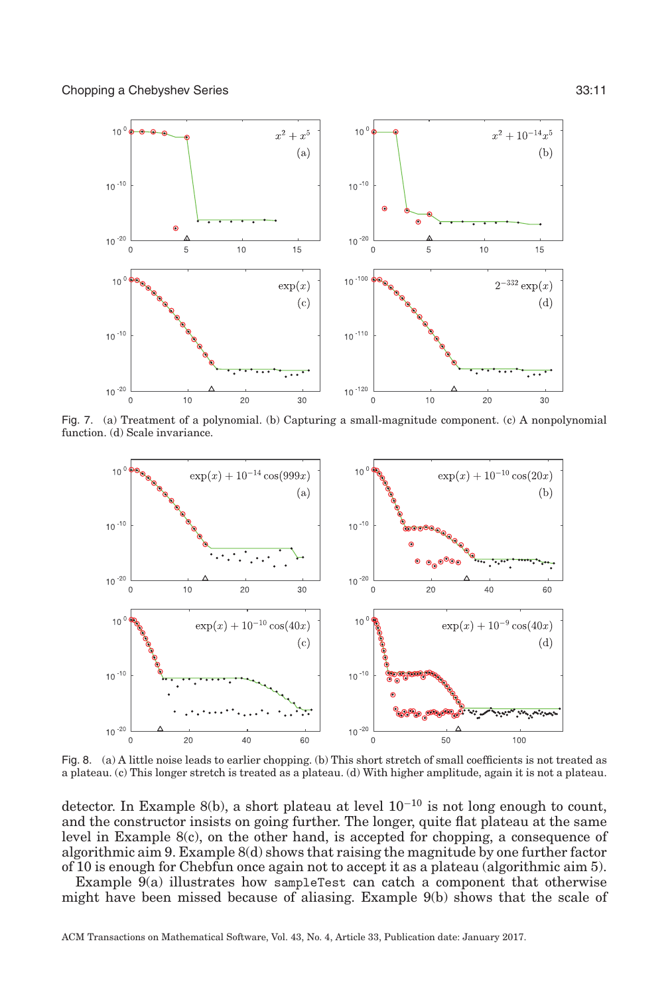<span id="page-10-0"></span>

Fig. 7. (a) Treatment of a polynomial. (b) Capturing a small-magnitude component. (c) A nonpolynomial function. (d) Scale invariance.

<span id="page-10-1"></span>

Fig. 8. (a) A little noise leads to earlier chopping. (b) This short stretch of small coefficients is not treated as a plateau. (c) This longer stretch is treated as a plateau. (d) With higher amplitude, again it is not a plateau.

detector. In Example [8\(](#page-10-1)b), a short plateau at level  $10^{-10}$  is not long enough to count, and the constructor insists on going further. The longer, quite flat plateau at the same level in Example [8\(](#page-10-1)c), on the other hand, is accepted for chopping, a consequence of algorithmic aim 9. Example  $8(d)$  shows that raising the magnitude by one further factor of 10 is enough for Chebfun once again not to accept it as a plateau (algorithmic aim 5).

Example [9\(](#page-11-0)a) illustrates how sampleTest can catch a component that otherwise might have been missed because of aliasing. Example [9\(](#page-11-0)b) shows that the scale of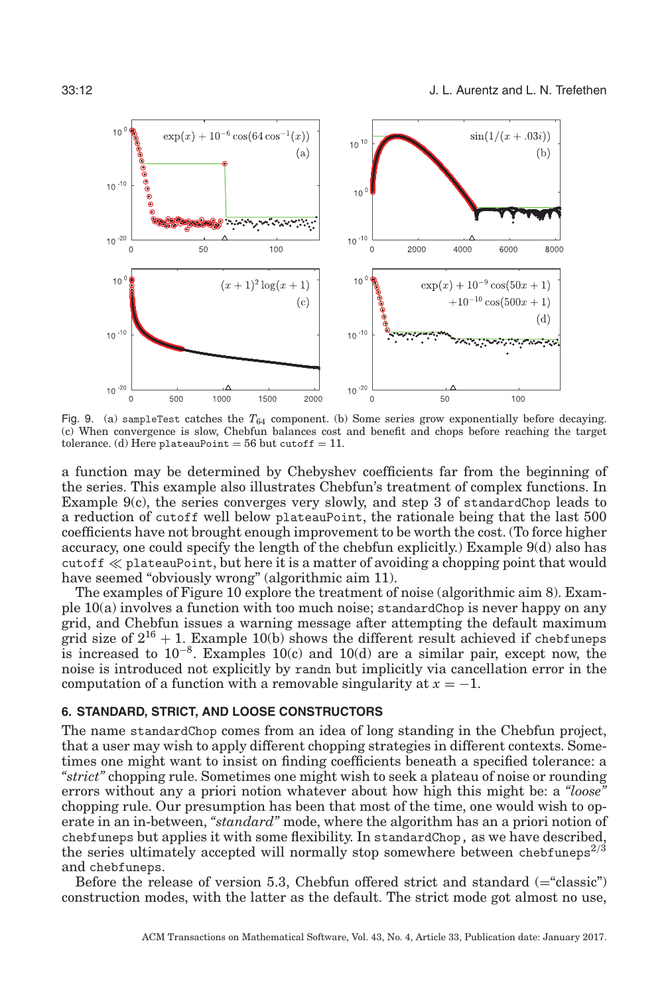<span id="page-11-0"></span>

Fig. 9. (a) sampleTest catches the *T*<sup>64</sup> component. (b) Some series grow exponentially before decaying. (c) When convergence is slow, Chebfun balances cost and benefit and chops before reaching the target tolerance. (d) Here plateauPoint = 56 but cutoff = 11.

a function may be determined by Chebyshev coefficients far from the beginning of the series. This example also illustrates Chebfun's treatment of complex functions. In Example [9\(](#page-11-0)c), the series converges very slowly, and step 3 of standardChop leads to a reduction of cutoff well below plateauPoint, the rationale being that the last 500 coefficients have not brought enough improvement to be worth the cost. (To force higher accuracy, one could specify the length of the chebfun explicitly.) Example [9\(](#page-11-0)d) also has  $\text{cutoff} \ll \text{plateauPoint}, \text{but here it is a matter of avoiding a chopping point that would}$ have seemed "obviously wrong" (algorithmic aim 11).

The examples of Figure [10](#page-12-0) explore the treatment of noise (algorithmic aim 8). Example [10\(](#page-12-0)a) involves a function with too much noise; standardChop is never happy on any grid, and Chebfun issues a warning message after attempting the default maximum grid size of  $2^{16} + 1$ . Example [10\(](#page-12-0)b) shows the different result achieved if chebfuneps is increased to 10−8. Examples [10\(](#page-12-0)c) and [10\(](#page-12-0)d) are a similar pair, except now, the noise is introduced not explicitly by randn but implicitly via cancellation error in the computation of a function with a removable singularity at  $x = -1$ .

# **6. STANDARD, STRICT, AND LOOSE CONSTRUCTORS**

The name standardChop comes from an idea of long standing in the Chebfun project, that a user may wish to apply different chopping strategies in different contexts. Sometimes one might want to insist on finding coefficients beneath a specified tolerance: a *"strict"* chopping rule. Sometimes one might wish to seek a plateau of noise or rounding errors without any a priori notion whatever about how high this might be: a *"loose"* chopping rule. Our presumption has been that most of the time, one would wish to operate in an in-between, *"standard"* mode, where the algorithm has an a priori notion of chebfuneps but applies it with some flexibility. In standardChop, as we have described, the series ultimately accepted will normally stop somewhere between chebfuneps $^{2/3}$ and chebfuneps.

Before the release of version 5.3, Chebfun offered strict and standard (="classic") construction modes, with the latter as the default. The strict mode got almost no use,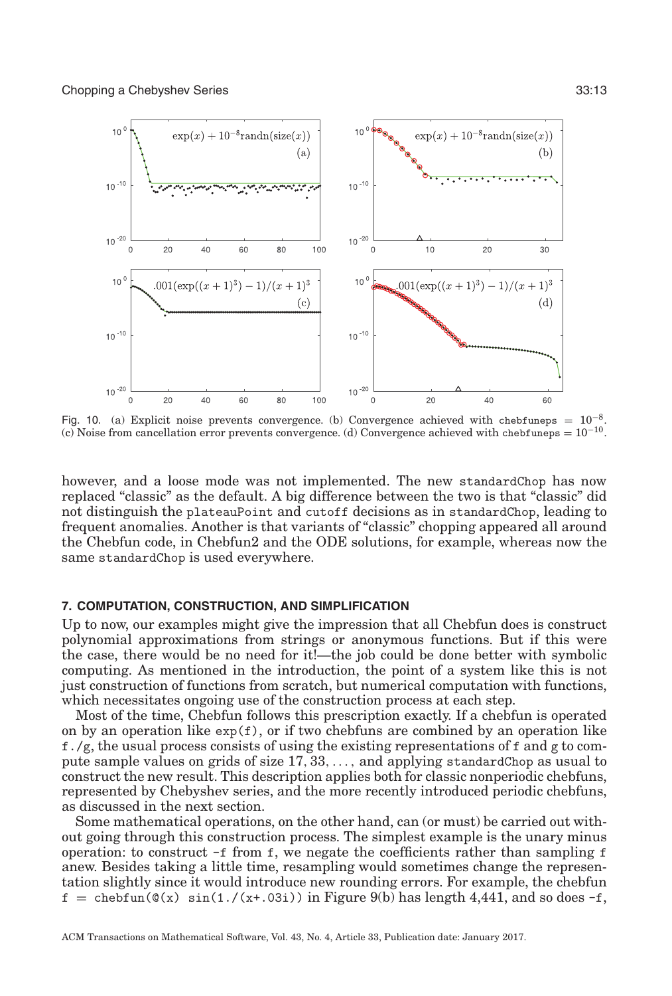<span id="page-12-0"></span>

Fig. 10. (a) Explicit noise prevents convergence. (b) Convergence achieved with chebfuneps <sup>=</sup> <sup>10</sup>−8. (c) Noise from cancellation error prevents convergence. (d) Convergence achieved with chebfuneps =  $10^{-10}$ .

however, and a loose mode was not implemented. The new standardChop has now replaced "classic" as the default. A big difference between the two is that "classic" did not distinguish the plateauPoint and cutoff decisions as in standardChop, leading to frequent anomalies. Another is that variants of "classic" chopping appeared all around the Chebfun code, in Chebfun2 and the ODE solutions, for example, whereas now the same standardChop is used everywhere.

#### **7. COMPUTATION, CONSTRUCTION, AND SIMPLIFICATION**

Up to now, our examples might give the impression that all Chebfun does is construct polynomial approximations from strings or anonymous functions. But if this were the case, there would be no need for it!—the job could be done better with symbolic computing. As mentioned in the introduction, the point of a system like this is not just construction of functions from scratch, but numerical computation with functions, which necessitates ongoing use of the construction process at each step.

Most of the time, Chebfun follows this prescription exactly. If a chebfun is operated on by an operation like  $exp(f)$ , or if two chebfuns are combined by an operation like f./g, the usual process consists of using the existing representations of f and g to compute sample values on grids of size 17, 33,..., and applying standardChop as usual to construct the new result. This description applies both for classic nonperiodic chebfuns, represented by Chebyshev series, and the more recently introduced periodic chebfuns, as discussed in the next section.

Some mathematical operations, on the other hand, can (or must) be carried out without going through this construction process. The simplest example is the unary minus operation: to construct  $-f$  from f, we negate the coefficients rather than sampling f anew. Besides taking a little time, resampling would sometimes change the representation slightly since it would introduce new rounding errors. For example, the chebfun  $f = \text{chebfun}(\mathcal{Q}(x) \sin(1.7(x+.03i)) \text{ in Figure 9(b) has length } 4,441, \text{ and so does } -f,$  $f = \text{chebfun}(\mathcal{Q}(x) \sin(1.7(x+.03i)) \text{ in Figure 9(b) has length } 4,441, \text{ and so does } -f,$  $f = \text{chebfun}(\mathcal{Q}(x) \sin(1.7(x+.03i)) \text{ in Figure 9(b) has length } 4,441, \text{ and so does } -f,$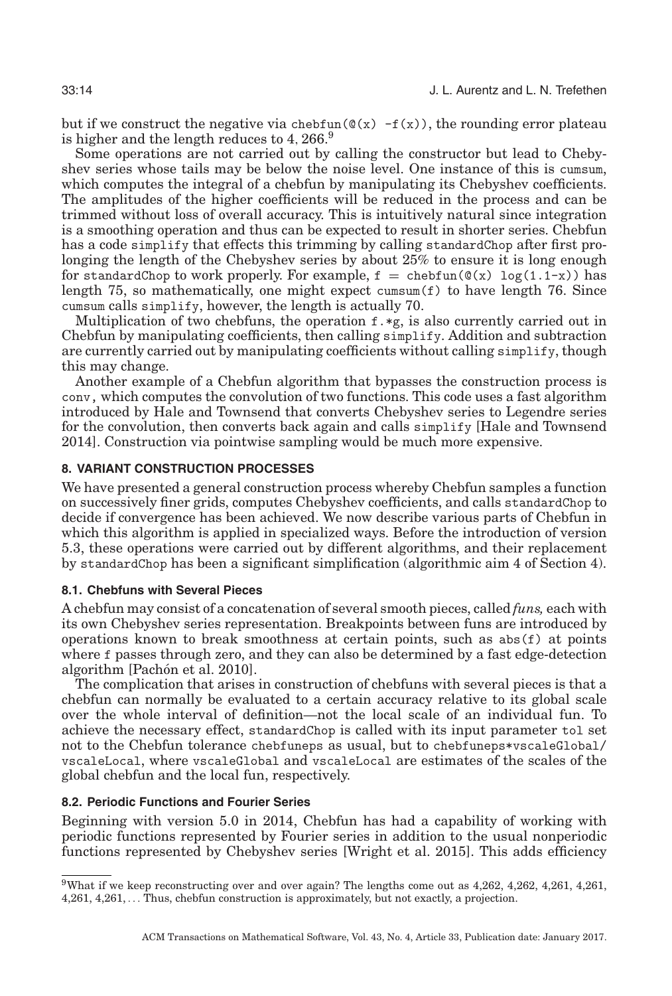but if we construct the negative via chebfun( $\mathcal{Q}(x)$  -f(x)), the rounding error plateau is higher and the length reduces to  $4,266$ .<sup>[9](#page-13-1)</sup>

Some operations are not carried out by calling the constructor but lead to Chebyshev series whose tails may be below the noise level. One instance of this is cumsum, which computes the integral of a chebfun by manipulating its Chebyshev coefficients. The amplitudes of the higher coefficients will be reduced in the process and can be trimmed without loss of overall accuracy. This is intuitively natural since integration is a smoothing operation and thus can be expected to result in shorter series. Chebfun has a code simplify that effects this trimming by calling standardChop after first prolonging the length of the Chebyshev series by about 25% to ensure it is long enough for standardChop to work properly. For example,  $f = \text{chebfun}(\mathcal{C}(x) \log(1.1-x))$  has length 75, so mathematically, one might expect cumsum(f) to have length 76. Since cumsum calls simplify, however, the length is actually 70.

Multiplication of two chebfuns, the operation  $f \cdot \ast g$ , is also currently carried out in Chebfun by manipulating coefficients, then calling simplify. Addition and subtraction are currently carried out by manipulating coefficients without calling simplify, though this may change.

Another example of a Chebfun algorithm that bypasses the construction process is conv, which computes the convolution of two functions. This code uses a fast algorithm introduced by Hale and Townsend that converts Chebyshev series to Legendre series for the convolution, then converts back again and calls simplify [Hale and Townsend [2014\]](#page-20-15). Construction via pointwise sampling would be much more expensive.

# **8. VARIANT CONSTRUCTION PROCESSES**

<span id="page-13-0"></span>We have presented a general construction process whereby Chebfun samples a function on successively finer grids, computes Chebyshev coefficients, and calls standardChop to decide if convergence has been achieved. We now describe various parts of Chebfun in which this algorithm is applied in specialized ways. Before the introduction of version 5.3, these operations were carried out by different algorithms, and their replacement by standardChop has been a significant simplification (algorithmic aim 4 of Section [4\)](#page-6-2).

#### **8.1. Chebfuns with Several Pieces**

<span id="page-13-2"></span>A chebfun may consist of a concatenation of several smooth pieces, called *funs,* each with its own Chebyshev series representation. Breakpoints between funs are introduced by operations known to break smoothness at certain points, such as abs(f) at points where f passes through zero, and they can also be determined by a fast edge-detection algorithm [Pachón et al. [2010\]](#page-20-16).

The complication that arises in construction of chebfuns with several pieces is that a chebfun can normally be evaluated to a certain accuracy relative to its global scale over the whole interval of definition—not the local scale of an individual fun. To achieve the necessary effect, standardChop is called with its input parameter tol set not to the Chebfun tolerance chebfuneps as usual, but to chebfuneps\*vscaleGlobal/ vscaleLocal, where vscaleGlobal and vscaleLocal are estimates of the scales of the global chebfun and the local fun, respectively.

# **8.2. Periodic Functions and Fourier Series**

Beginning with version 5.0 in 2014, Chebfun has had a capability of working with periodic functions represented by Fourier series in addition to the usual nonperiodic functions represented by Chebyshev series [Wright et al. [2015\]](#page-20-17). This adds efficiency

<span id="page-13-1"></span><sup>9</sup>What if we keep reconstructing over and over again? The lengths come out as 4,262, 4,262, 4,261, 4,261, 4,261, 4,261, ... Thus, chebfun construction is approximately, but not exactly, a projection.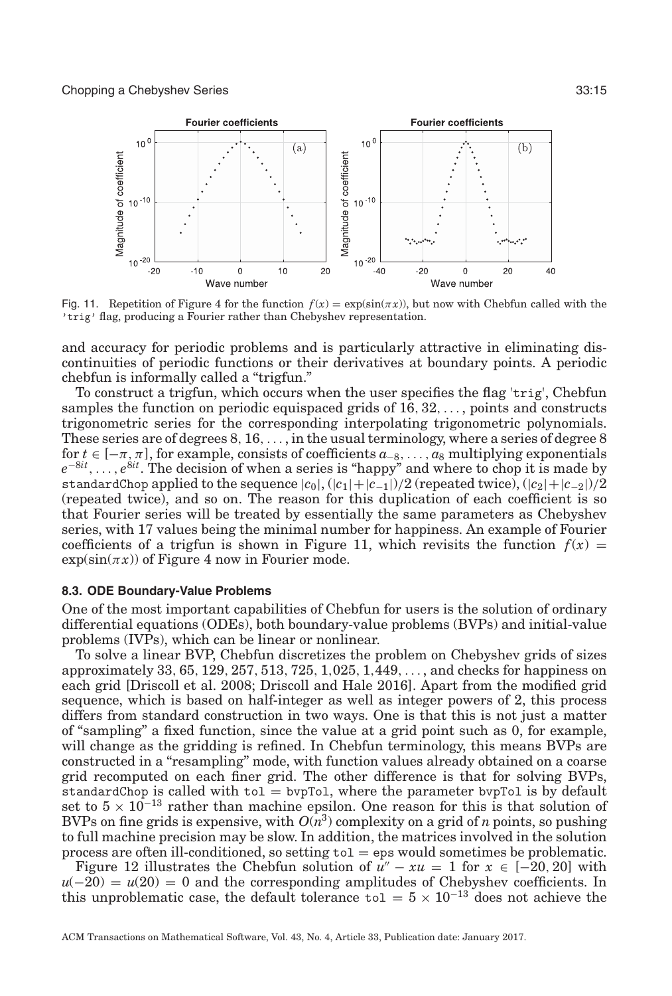<span id="page-14-0"></span>

Fig. 11. Repetition of Figure [4](#page-4-0) for the function  $f(x) = \exp(\sin(\pi x))$ , but now with Chebfun called with the 'trig' flag, producing a Fourier rather than Chebyshev representation.

and accuracy for periodic problems and is particularly attractive in eliminating discontinuities of periodic functions or their derivatives at boundary points. A periodic chebfun is informally called a "trigfun."

To construct a trigfun, which occurs when the user specifies the flag 'trig', Chebfun samples the function on periodic equispaced grids of 16, 32,... , points and constructs trigonometric series for the corresponding interpolating trigonometric polynomials. These series are of degrees  $8, 16, \ldots$ , in the usual terminology, where a series of degree 8 for  $t \in [-\pi, \pi]$ , for example, consists of coefficients  $a_{-8}, \ldots, a_8$  multiplying exponentials *e*<sup>−8*it*</sup>,..., *e*<sup>8*it*</sup>. The decision of when a series is "happy" and where to chop it is made by standardChop applied to the sequence  $|c_0|$ ,  $(|c_1|+|c_{-1}|)/2$  (repeated twice),  $(|c_2|+|c_{-2}|)/2$ (repeated twice), and so on. The reason for this duplication of each coefficient is so that Fourier series will be treated by essentially the same parameters as Chebyshev series, with 17 values being the minimal number for happiness. An example of Fourier coefficients of a trigfun is shown in Figure [11,](#page-14-0) which revisits the function  $f(x) =$  $\exp(\sin(\pi x))$  of Figure [4](#page-4-0) now in Fourier mode.

### **8.3. ODE Boundary-Value Problems**

One of the most important capabilities of Chebfun for users is the solution of ordinary differential equations (ODEs), both boundary-value problems (BVPs) and initial-value problems (IVPs), which can be linear or nonlinear.

To solve a linear BVP, Chebfun discretizes the problem on Chebyshev grids of sizes approximately 33, 65, 129, 257, 513, 725, 1,025, 1,449,... , and checks for happiness on each grid [Driscoll et al. [2008;](#page-20-18) Driscoll and Hale [2016\]](#page-20-19). Apart from the modified grid sequence, which is based on half-integer as well as integer powers of 2, this process differs from standard construction in two ways. One is that this is not just a matter of "sampling" a fixed function, since the value at a grid point such as 0, for example, will change as the gridding is refined. In Chebfun terminology, this means BVPs are constructed in a "resampling" mode, with function values already obtained on a coarse grid recomputed on each finer grid. The other difference is that for solving BVPs, standardChop is called with  $tol = bvpTol$ , where the parameter bvpTol is by default set to  $5 \times 10^{-13}$  rather than machine epsilon. One reason for this is that solution of BVPs on fine grids is expensive, with  $O(n^3)$  complexity on a grid of *n* points, so pushing to full machine precision may be slow. In addition, the matrices involved in the solution process are often ill-conditioned, so setting  $\text{tol} = \text{eps}$  would sometimes be problematic.

Figure [12](#page-15-0) illustrates the Chebfun solution of  $u'' - xu = 1$  for  $x \in [-20, 20]$  with  $u(-20) = u(20) = 0$  and the corresponding amplitudes of Chebyshev coefficients. In this unproblematic case, the default tolerance to  $1 = 5 \times 10^{-13}$  does not achieve the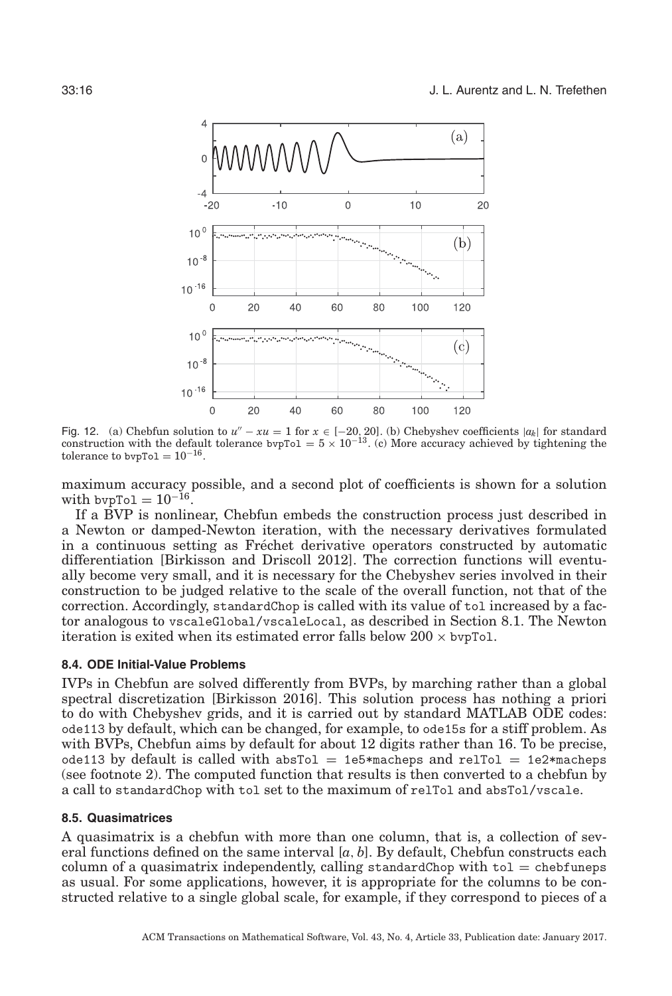<span id="page-15-0"></span>

Fig. 12. (a) Chebfun solution to  $u'' - xu = 1$  for  $x \in [-20, 20]$ . (b) Chebyshev coefficients  $|a_k|$  for standard construction with the default tolerance bvpTol =  $5 \times 10^{-13}$ . (c) More accuracy achieved by tightening the tolerance to bvpTo1 =  $10^{-16}$ .

maximum accuracy possible, and a second plot of coefficients is shown for a solution with bvpTol =  $10^{-16}$ .

If a BVP is nonlinear, Chebfun embeds the construction process just described in a Newton or damped-Newton iteration, with the necessary derivatives formulated in a continuous setting as Frechet derivative operators constructed by automatic ´ differentiation [Birkisson and Driscoll [2012\]](#page-20-20). The correction functions will eventually become very small, and it is necessary for the Chebyshev series involved in their construction to be judged relative to the scale of the overall function, not that of the correction. Accordingly, standardChop is called with its value of tol increased by a factor analogous to vscaleGlobal/vscaleLocal, as described in Section [8.1.](#page-13-2) The Newton iteration is exited when its estimated error falls below  $200 \times b$  vpTol.

#### **8.4. ODE Initial-Value Problems**

IVPs in Chebfun are solved differently from BVPs, by marching rather than a global spectral discretization [Birkisson [2016\]](#page-20-21). This solution process has nothing a priori to do with Chebyshev grids, and it is carried out by standard MATLAB ODE codes: ode113 by default, which can be changed, for example, to ode15s for a stiff problem. As with BVPs, Chebfun aims by default for about 12 digits rather than 16. To be precise, ode113 by default is called with absTol = 1e5\*macheps and relTol = 1e2\*macheps (see footnote 2). The computed function that results is then converted to a chebfun by a call to standardChop with tol set to the maximum of relTol and absTol/vscale.

#### **8.5. Quasimatrices**

A quasimatrix is a chebfun with more than one column, that is, a collection of several functions defined on the same interval [*a*, *b*]. By default, Chebfun constructs each column of a quasimatrix independently, calling standardChop with  $tol =$  chebfuneps as usual. For some applications, however, it is appropriate for the columns to be constructed relative to a single global scale, for example, if they correspond to pieces of a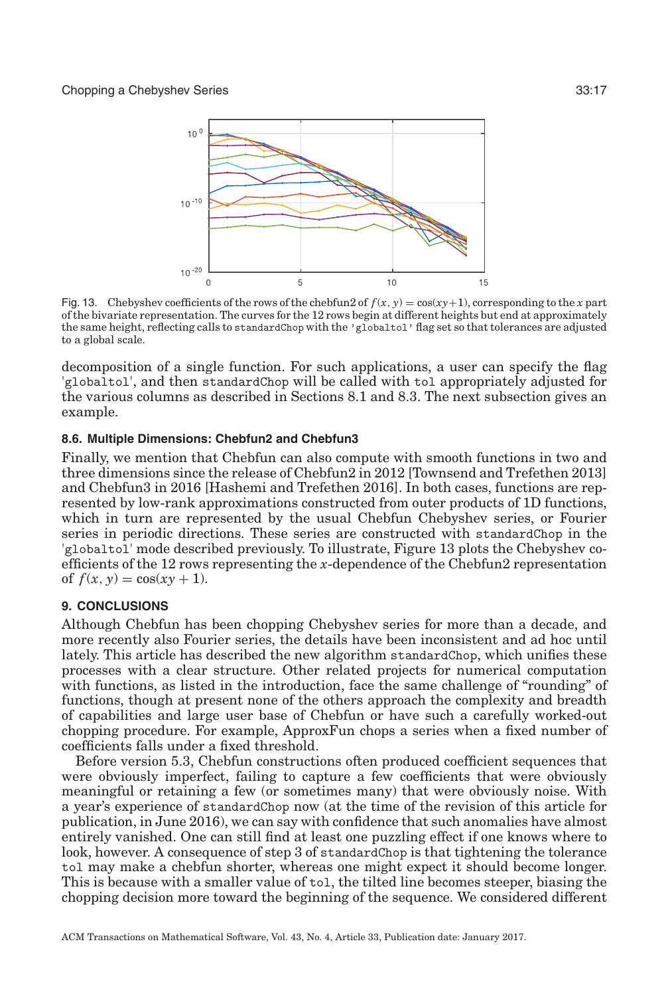<span id="page-16-0"></span>

Fig. 13. Chebyshev coefficients of the rows of the chebfun2 of  $f(x, y) = \cos(xy+1)$ , corresponding to the *x* part of the bivariate representation. The curves for the 12 rows begin at different heights but end at approximately the same height, reflecting calls to standardChop with the 'globaltol' flag set so that tolerances are adjusted to a global scale.

decomposition of a single function. For such applications, a user can specify the flag 'globaltol', and then standardChop will be called with tol appropriately adjusted for the various columns as described in Sections [8.1](#page-13-2) and 8.3. The next subsection gives an example.

# **8.6. Multiple Dimensions: Chebfun2 and Chebfun3**

Finally, we mention that Chebfun can also compute with smooth functions in two and three dimensions since the release of Chebfun2 in 2012 [Townsend and Trefethen 2013] and Chebfun3 in 2016 [Hashemi and Trefethen 2016]. In both cases, functions are represented by low-rank approximations constructed from outer products of 1D functions, which in turn are represented by the usual Chebfun Chebyshev series, or Fourier series in periodic directions. These series are constructed with standardChop in the 'globaltol' mode described previously. To illustrate, Figure [13](#page-16-0) plots the Chebyshev coefficients of the 12 rows representing the *x*-dependence of the Chebfun2 representation of  $f(x, y) = \cos(xy + 1)$ .

# **9. CONCLUSIONS**

Although Chebfun has been chopping Chebyshev series for more than a decade, and more recently also Fourier series, the details have been inconsistent and ad hoc until lately. This article has described the new algorithm standardChop, which unifies these processes with a clear structure. Other related projects for numerical computation with functions, as listed in the introduction, face the same challenge of "rounding" of functions, though at present none of the others approach the complexity and breadth of capabilities and large user base of Chebfun or have such a carefully worked-out chopping procedure. For example, ApproxFun chops a series when a fixed number of coefficients falls under a fixed threshold.

Before version 5.3, Chebfun constructions often produced coefficient sequences that were obviously imperfect, failing to capture a few coefficients that were obviously meaningful or retaining a few (or sometimes many) that were obviously noise. With a year's experience of standardChop now (at the time of the revision of this article for publication, in June 2016), we can say with confidence that such anomalies have almost entirely vanished. One can still find at least one puzzling effect if one knows where to look, however. A consequence of step 3 of standardChop is that tightening the tolerance tol may make a chebfun shorter, whereas one might expect it should become longer. This is because with a smaller value of tol, the tilted line becomes steeper, biasing the chopping decision more toward the beginning of the sequence. We considered different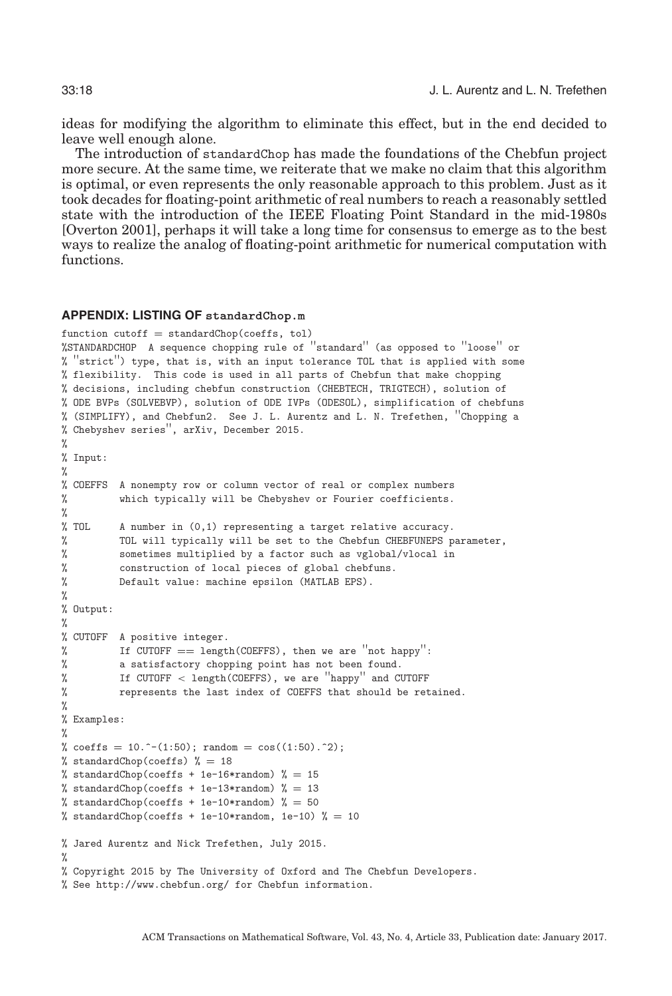ideas for modifying the algorithm to eliminate this effect, but in the end decided to leave well enough alone.

The introduction of standardChop has made the foundations of the Chebfun project more secure. At the same time, we reiterate that we make no claim that this algorithm is optimal, or even represents the only reasonable approach to this problem. Just as it took decades for floating-point arithmetic of real numbers to reach a reasonably settled state with the introduction of the IEEE Floating Point Standard in the mid-1980s [Overton [2001\]](#page-20-0), perhaps it will take a long time for consensus to emerge as to the best ways to realize the analog of floating-point arithmetic for numerical computation with functions.

# **APPENDIX: LISTING OF** standardChop.m

```
function cutoff = standardChop(coeffs, tol)%STANDARDCHOP A sequence chopping rule of ''standard'' (as opposed to ''loose'' or
% ''strict'') type, that is, with an input tolerance TOL that is applied with some
% flexibility. This code is used in all parts of Chebfun that make chopping
% decisions, including chebfun construction (CHEBTECH, TRIGTECH), solution of
% ODE BVPs (SOLVEBVP), solution of ODE IVPs (ODESOL), simplification of chebfuns
% (SIMPLIFY), and Chebfun2. See J. L. Aurentz and L. N. Trefethen, ''Chopping a
% Chebyshev series'', arXiv, December 2015.
%
% Input:
%
% COEFFS A nonempty row or column vector of real or complex numbers
% which typically will be Chebyshev or Fourier coefficients.
%<br>% TOL
         A number in (0,1) representing a target relative accuracy.
% TOL will typically will be set to the Chebfun CHEBFUNEPS parameter,
% sometimes multiplied by a factor such as vglobal/vlocal in
% construction of local pieces of global chebfuns.
% Default value: machine epsilon (MATLAB EPS).
%
% Output:
%
% CUTOFF A positive integer.
% If CUTOFF == length(COEFFS), then we are ''not happy'':
         a satisfactory chopping point has not been found.
% If CUTOFF < length(COEFFS), we are ''happy'' and CUTOFF
% represents the last index of COEFFS that should be retained.
%
% Examples:
%
% coeffs = 10.^{\circ}-(1:50); random = cos((1:50).^{\circ}2);% standardChop(coeffs) % = 18% standardChop(coeffs + 1e-16*random) % = 15% standardChop(coeffs + 1e-13*random) % = 13
% standardChop(coeffs + 1e-10*random) % = 50% standardChop(coeffs + 1e-10*random, 1e-10) % = 10% Jared Aurentz and Nick Trefethen, July 2015.
%
% Copyright 2015 by The University of Oxford and The Chebfun Developers.
% See http://www.chebfun.org/ for Chebfun information.
```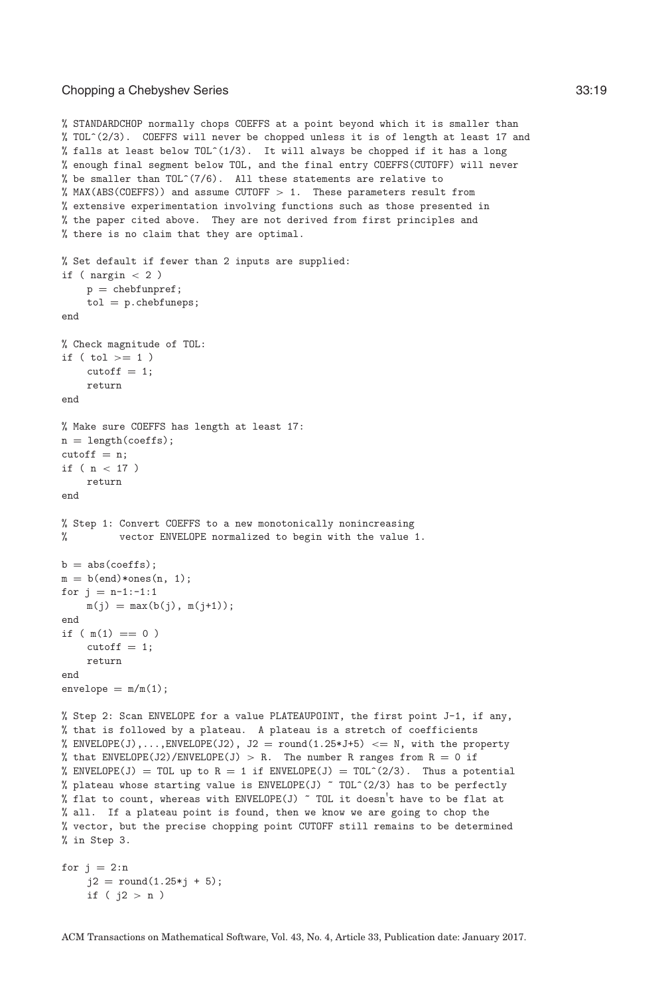#### Chopping a Chebyshev Series 33:19

```
% STANDARDCHOP normally chops COEFFS at a point beyond which it is smaller than
% TOL^(2/3). COEFFS will never be chopped unless it is of length at least 17 and
% falls at least below TOL^{\circ}(1/3). It will always be chopped if it has a long
% enough final segment below TOL, and the final entry COEFFS(CUTOFF) will never
% be smaller than TOL^{\sim}(7/6). All these statements are relative to
% MAX(ABS(COEFFS)) and assume CUTOFF > 1. These parameters result from
% extensive experimentation involving functions such as those presented in
% the paper cited above. They are not derived from first principles and
% there is no claim that they are optimal.
% Set default if fewer than 2 inputs are supplied:
if ( nargin < 2 )
    p = chebfunpref;
    tol = p.chebfuneps;end
% Check magnitude of TOL:
if ( tol >= 1)cutoff = 1;return
end
% Make sure COEFFS has length at least 17:
n = length(coeffs);cutoff = n;if (n < 17)
    return
end
% Step 1: Convert COEFFS to a new monotonically nonincreasing
% vector ENVELOPE normalized to begin with the value 1.
b = abs(coeffs);m = b(\text{end}) * \text{ones}(n, 1);for j = n-1:-1:1m(j) = max(b(j), m(j+1));end
if (m(1) == 0)cutoff = 1;return
end
envelope = m/m(1);% Step 2: Scan ENVELOPE for a value PLATEAUPOINT, the first point J-1, if any,
% that is followed by a plateau. A plateau is a stretch of coefficients
% ENVELOPE(J),..., ENVELOPE(J2), J2 = round(1.25*J+5) <= N, with the property
% that ENVELOPE(J2)/ENVELOPE(J) > R. The number R ranges from R = 0 if
% ENVELOPE(J) = TOL up to R = 1 if ENVELOPE(J) = TOL<sup>\hat{C}(2/3). Thus a potential</sup>
% plateau whose starting value is ENVELOPE(J) ~ TOL^{\circ}(2/3) has to be perfectly
% flat to count, whereas with ENVELOPE(J) \tilde{ } TOL it doesn't have to be flat at
% all. If a plateau point is found, then we know we are going to chop the
% vector, but the precise chopping point CUTOFF still remains to be determined
% in Step 3.
for j = 2:nj2 = round(1.25 * j + 5);if ( j2 > n )
```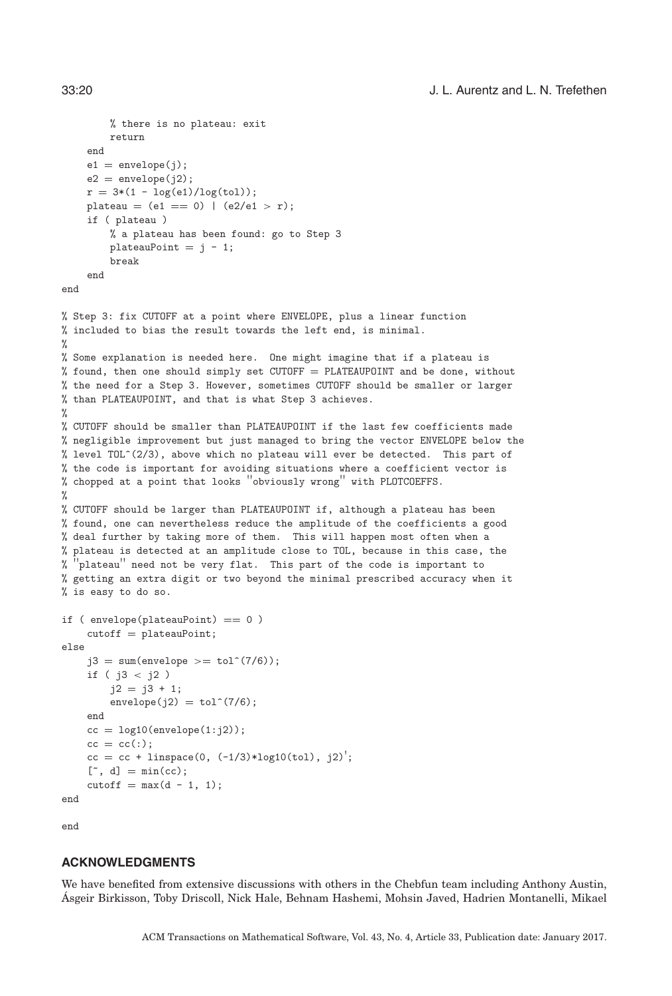```
% there is no plateau: exit
        return
    end
    e1 = envelope(j);
    e2 =envelope(i2);
    r = 3*(1 - log(e1)/log(t01));plateau = (e1 == 0) | (e2/e1 > r);if ( plateau )
        % a plateau has been found: go to Step 3
        plateauPoint = j - 1;break
    end
end
% Step 3: fix CUTOFF at a point where ENVELOPE, plus a linear function
% included to bias the result towards the left end, is minimal.
%
% Some explanation is needed here. One might imagine that if a plateau is
% found, then one should simply set CUTOFF = PLATEAUPOINT and be done, without
% the need for a Step 3. However, sometimes CUTOFF should be smaller or larger
% than PLATEAUPOINT, and that is what Step 3 achieves.
\frac{9}{2}% CUTOFF should be smaller than PLATEAUPOINT if the last few coefficients made
% negligible improvement but just managed to bring the vector ENVELOPE below the
% level TOL^(2/3), above which no plateau will ever be detected. This part of
% the code is important for avoiding situations where a coefficient vector is
% chopped at a point that looks ''obviously wrong'' with PLOTCOEFFS.
\frac{9}{4}% CUTOFF should be larger than PLATEAUPOINT if, although a plateau has been
% found, one can nevertheless reduce the amplitude of the coefficients a good
% deal further by taking more of them. This will happen most often when a
% plateau is detected at an amplitude close to TOL, because in this case, the
   'plateau'' need not be very flat. This part of the code is important to
% getting an extra digit or two beyond the minimal prescribed accuracy when it
% is easy to do so.
if ( envelope(plateauPoint) == 0 )
    cutoff = plateauPoint;
else
    j3 = sum(envelope \geq tot(7/6));if ( j3 < j2 )
        j2 = j3 + 1;envelope(j2) = tol^(7/6);end
    cc = log10(envelope(1:j2));cc = cc(:);
```
end

end

# **ACKNOWLEDGMENTS**

 $[$ ", d] =  $min(cc);$  $\text{cutoff} = \max(d - 1, 1);$ 

 $cc = cc + \text{linspace}(0, (-1/3)*\text{log10(tol)}, i2)$ ;

We have benefited from extensive discussions with others in the Chebfun team including Anthony Austin, Asgeir Birkisson, Toby Driscoll, Nick Hale, Behnam Hashemi, Mohsin Javed, Hadrien Montanelli, Mikael ´